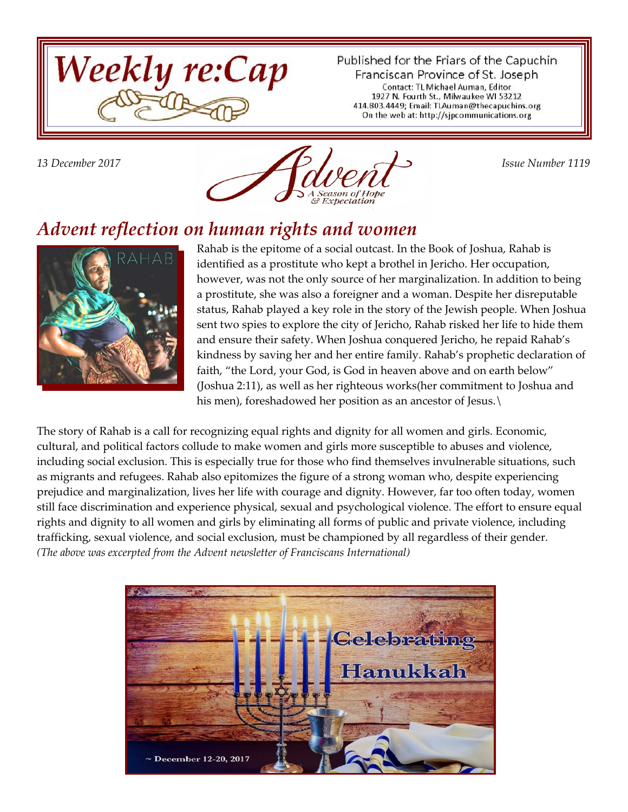

Published for the Friars of the Capuchin Franciscan Province of St. Joseph Contact: TL Michael Auman, Editor 1927 N. Fourth St., Milwaukee WI 53212 414.803.4449; Email: TLAuman@thecapuchins.org On the web at: http://sjpcommunications.org



#### *Advent reflection on human rights and women*



Rahab is the epitome of a social outcast. In the Book of Joshua, Rahab is identified as a prostitute who kept a brothel in Jericho. Her occupation, however, was not the only source of her marginalization. In addition to being a prostitute, she was also a foreigner and a woman. Despite her disreputable status, Rahab played a key role in the story of the Jewish people. When Joshua sent two spies to explore the city of Jericho, Rahab risked her life to hide them and ensure their safety. When Joshua conquered Jericho, he repaid Rahab's kindness by saving her and her entire family. Rahab's prophetic declaration of faith, "the Lord, your God, is God in heaven above and on earth below" (Joshua 2:11), as well as her righteous works(her commitment to Joshua and his men), foreshadowed her position as an ancestor of Jesus.

The story of Rahab is a call for recognizing equal rights and dignity for all women and girls. Economic, cultural, and political factors collude to make women and girls more susceptible to abuses and violence, including social exclusion. This is especially true for those who find themselves invulnerable situations, such as migrants and refugees. Rahab also epitomizes the figure of a strong woman who, despite experiencing prejudice and marginalization, lives her life with courage and dignity. However, far too often today, women still face discrimination and experience physical, sexual and psychological violence. The effort to ensure equal rights and dignity to all women and girls by eliminating all forms of public and private violence, including trafficking, sexual violence, and social exclusion, must be championed by all regardless of their gender. *(The above was excerpted from the Advent newsletter of Franciscans International)*

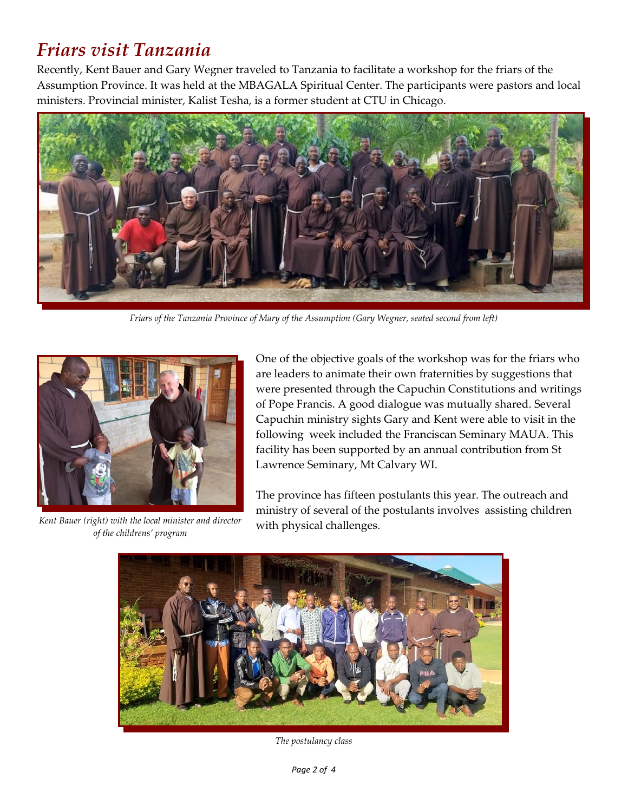# *Friars visit Tanzania*

Recently, Kent Bauer and Gary Wegner traveled to Tanzania to facilitate a workshop for the friars of the Assumption Province. It was held at the MBAGALA Spiritual Center. The participants were pastors and local ministers. Provincial minister, Kalist Tesha, is a former student at CTU in Chicago.



*Friars of the Tanzania Province of Mary of the Assumption (Gary Wegner, seated second from left)*



*Kent Bauer (right) with the local minister and director of the childrens' program*

One of the objective goals of the workshop was for the friars who are leaders to animate their own fraternities by suggestions that were presented through the Capuchin Constitutions and writings of Pope Francis. A good dialogue was mutually shared. Several Capuchin ministry sights Gary and Kent were able to visit in the following week included the Franciscan Seminary MAUA. This facility has been supported by an annual contribution from St Lawrence Seminary, Mt Calvary WI.

The province has fifteen postulants this year. The outreach and ministry of several of the postulants involves assisting children with physical challenges.



*The postulancy class*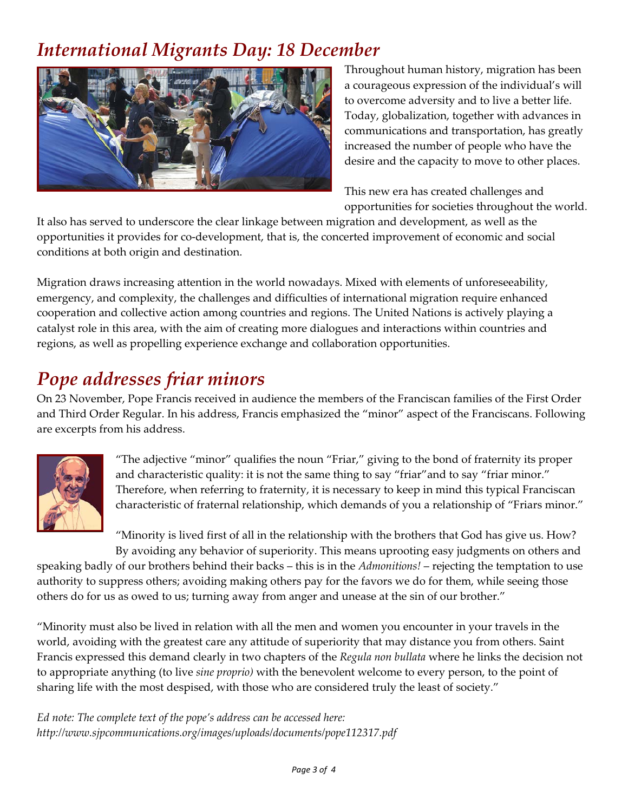### *International Migrants Day: 18 December*



Throughout human history, migration has been a courageous expression of the individual's will to overcome adversity and to live a better life. Today, globalization, together with advances in communications and transportation, has greatly increased the number of people who have the desire and the capacity to move to other places.

This new era has created challenges and opportunities for societies throughout the world.

It also has served to underscore the clear linkage between migration and development, as well as the opportunities it provides for co-development, that is, the concerted improvement of economic and social conditions at both origin and destination.

Migration draws increasing attention in the world nowadays. Mixed with elements of unforeseeability, emergency, and complexity, the challenges and difficulties of international migration require enhanced cooperation and collective action among countries and regions. The United Nations is actively playing a catalyst role in this area, with the aim of creating more dialogues and interactions within countries and regions, as well as propelling experience exchange and collaboration opportunities.

#### *Pope addresses friar minors*

On 23 November, Pope Francis received in audience the members of the Franciscan families of the First Order and Third Order Regular. In his address, Francis emphasized the "minor" aspect of the Franciscans. Following are excerpts from his address.



"The adjective "minor" qualifies the noun "Friar," giving to the bond of fraternity its proper and characteristic quality: it is not the same thing to say "friar"and to say "friar minor." Therefore, when referring to fraternity, it is necessary to keep in mind this typical Franciscan characteristic of fraternal relationship, which demands of you a relationship of "Friars minor."

"Minority is lived first of all in the relationship with the brothers that God has give us. How? By avoiding any behavior of superiority. This means uprooting easy judgments on others and

speaking badly of our brothers behind their backs – this is in the *Admonitions!* – rejecting the temptation to use authority to suppress others; avoiding making others pay for the favors we do for them, while seeing those others do for us as owed to us; turning away from anger and unease at the sin of our brother."

"Minority must also be lived in relation with all the men and women you encounter in your travels in the world, avoiding with the greatest care any attitude of superiority that may distance you from others. Saint Francis expressed this demand clearly in two chapters of the *Regula non bullata* where he links the decision not to appropriate anything (to live *sine proprio)* with the benevolent welcome to every person, to the point of sharing life with the most despised, with those who are considered truly the least of society."

*Ed note: The complete text of the pope's address can be accessed here: http://www.sjpcommunications.org/images/uploads/documents/pope112317.pdf*